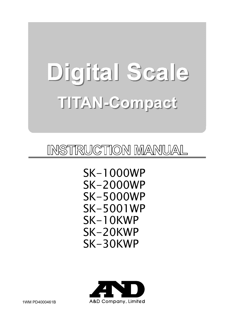# TCIE STEZIE <u>THAN SCOINGER</u>

## INSTRUCTION MANUAL

 SK-1000WP SK-2000WP SK-5000WP SK-5001WP SK-10KWP SK-20KWP SK-30KWP

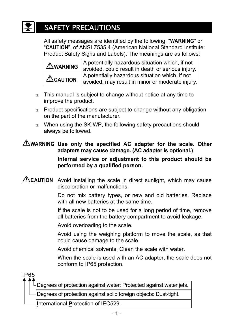## SAFETY PRECAUTIONS

 All safety messages are identified by the following, "**WARNING**" or "**CAUTION**", of ANSI Z535.4 (American National Standard Institute: Product Safety Signs and Labels). The meanings are as follows:

| AWARNING            | A potentially hazardous situation which, if not<br>avoided, could result in death or serious injury. |  |  |  |  |
|---------------------|------------------------------------------------------------------------------------------------------|--|--|--|--|
| $\triangle$ CAUTION | A potentially hazardous situation which, if not                                                      |  |  |  |  |
|                     | avoided, may result in minor or moderate injury.                                                     |  |  |  |  |

- This manual is subject to change without notice at any time to improve the product.
- Product specifications are subject to change without any obligation on the part of the manufacturer.
- When using the SK-WP, the following safety precautions should always be followed.

#### **WARNING Use only the specified AC adapter for the scale. Other adapters may cause damage. (AC adapter is optional.)**

 **Internal service or adjustment to this product should be performed by a qualified person.** 

**CAUTION** Avoid installing the scale in direct sunlight, which may cause discoloration or malfunctions.

> Do not mix battery types, or new and old batteries. Replace with all new batteries at the same time.

> If the scale is not to be used for a long period of time, remove all batteries from the battery compartment to avoid leakage.

Avoid overloading to the scale.

 Avoid using the weighing platform to move the scale, as that could cause damage to the scale.

Avoid chemical solvents. Clean the scale with water.

 When the scale is used with an AC adapter, the scale does not conform to IP65 protection.

IP65

Degrees of protection against water: Protected against water jets.

Degrees of protection against solid foreign objects: Dust-tight.

**I**nternational **P**rotection of IEC529.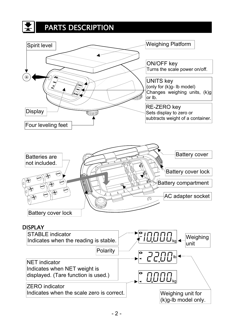## PARTS DESCRIPTION

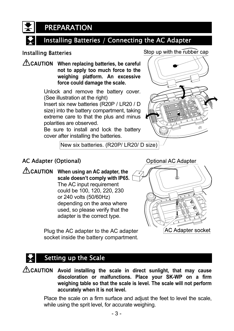PREPARATION

#### Installing Batteries / Connecting the AC Adapter

#### Installing Batteries

**CAUTION When replacing batteries, be careful not to apply too much force to the weighing platform. An excessive force could damage the scale.** 

> Unlock and remove the battery cover. (See illustration at the right)

> Insert six new batteries (R20P / LR20 / D size) into the battery compartment, taking extreme care to that the plus and minus polarities are observed.

> Be sure to install and lock the battery cover after installing the batteries.



New six batteries. (R20P/ LR20/ D size)

#### AC Adapter (Optional)

**CAUTION When using an AC adapter, the scale doesn't comply with IP65.** The AC input requirement could be 100, 120, 220, 230 or 240 volts (50/60Hz) depending on the area where used, so please verify that the adapter is the correct type.

> Plug the AC adapter to the AC adapter socket inside the battery compartment.

**Optional AC Adapter** 



#### Setting up the Scale

**CAUTION Avoid installing the scale in direct sunlight, that may cause discoloration or malfunctions. Place your SK-WP on a firm weighing table so that the scale is level. The scale will not perform accurately when it is not level.**

> Place the scale on a firm surface and adjust the feet to level the scale, while using the sprit level, for accurate weighing.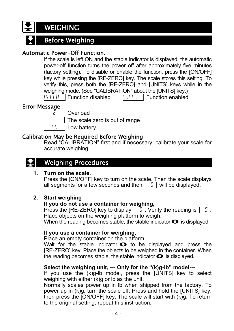### **WEIGHING**

### Before Weighing

#### Automatic Power-Off Function.

 If the scale is left ON and the stable indicator is displayed, the automatic power-off function turns the power off after approximately five minutes (factory setting). To disable or enable the function, press the [ON/OFF] key while pressing the [RE-ZERO] key. The scale stores this setting. To verify this, press both the [RE-ZERO] and [UNITS] keys while in the weighing mode. (See "CALIBRATION" about the [UNITS] key.)  $P<sub>0</sub>FF<sub>0</sub>$  Function disabled  $P<sub>0</sub>FFI$  Function enabled

#### Error Message



 $E$  | Overload

 $\overline{\hspace{1cm}}$  The scale zero is out of range

 $\lfloor b \rfloor$  Low battery

#### Calibration May be Required Before Weighing

 Read "CALIBRATION" first and if necessary, calibrate your scale for accurate weighing.

### Weighing Procedures

#### **1. Turn on the scale.**

 Press the [ON/OFF] key to turn on the scale. Then the scale displays all segments for a few seconds and then  $\boxed{0}$  will be displayed.

#### **2. Start weighing**

#### **If you do not use a container for weighing,**

Press the [RE-ZERO] key to display  $\boxed{0}$ . Verify the reading is  $\boxed{0}$ . Place objects on the weighing platform to weigh.

When the reading becomes stable, the stable indicator  $\bullet$  is displayed.

#### **If you use a container for weighing,**

Place an empty container on the platform.

Wait for the stable indicator  $\bullet$  to be displayed and press the [RE-ZERO] key. Place the objects to be weighed in the container. When the reading becomes stable, the stable indicator  $\bullet$  is displayed.

#### **Select the weighing unit, --- Only for the "(k)g-lb" model---**

 If you use the (k)g-lb model, press the [UNITS] key to select weighing with either (k)g or lb as the unit.

 Normally scales power up in lb when shipped from the factory. To power up in (k)g, turn the scale off. Press and hold the [UNITS] key, then press the [ON/OFF] key. The scale will start with (k)g. To return to the original setting, repeat this instruction.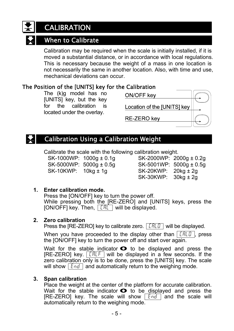## **CALIBRATION**

#### When to Calibrate

 Calibration may be required when the scale is initially installed, if it is moved a substantial distance, or in accordance with local regulations. This is necessary because the weight of a mass in one location is not necessarily the same in another location. Also, with time and use, mechanical deviations can occur.

#### The Position of the [UNITS] key for the Calibration

 The (k)g model has no [UNITS] key, but the key for the calibration is located under the overlay.



#### Calibration Using a Calibration Weight

Calibrate the scale with the following calibration weight.

SK-10KWP: 10kg ± 1g SK-20KWP: 20kg ± 2g

 $SK-1000WP: 1000g \pm 0.1g$  SK-2000WP: 2000g  $\pm 0.2g$  $SK-5000WF: 5000q \pm 0.5q$  SK-5001WP:  $5000q \pm 0.5q$ SK-30KWP: 30kg ± 2g

#### **1. Enter calibration mode.**

 Press the [ON/OFF] key to turn the power off. While pressing both the [RE-ZERO] and [UNITS] keys, press the  $[ON/OFF]$  key. Then,  $[CHI]$  will be displayed.

#### **2. Zero calibration**

Press the [RE-ZERO] key to calibrate zero.  $\boxed{\text{LRLG}}$  will be displayed.

When you have proceeded to the display other than  $\|ERLG\|$ , press the [ON/OFF] key to turn the power off and start over again.

Wait for the stable indicator  $\bullet$  to be displayed and press the [RE-ZERO] key.  $\sqrt{LRLF}$  will be displayed in a few seconds. If the zero calibration only is to be done, press the [UNITS] key. The scale will show  $\sqrt{2nd}$  and automatically return to the weighing mode.

#### **3. Span calibration**

 Place the weight at the center of the platform for accurate calibration. Wait for the stable indicator  $\bullet$  to be displayed and press the [RE-ZERO] key. The scale will show  $\sqrt{2nd}$  and the scale will automatically return to the weighing mode.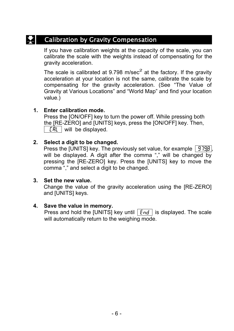#### Calibration by Gravity Compensation

If you have calibration weights at the capacity of the scale, you can calibrate the scale with the weights instead of compensating for the gravity acceleration.

The scale is calibrated at 9.798 m/sec<sup>2</sup> at the factory. If the gravity acceleration at your location is not the same, calibrate the scale by compensating for the gravity acceleration. (See "The Value of Gravity at Various Locations" and "World Map" and find your location value.)

#### **1. Enter calibration mode.**

Press the [ON/OFF] key to turn the power off. While pressing both the [RE-ZERO] and [UNITS] keys, press the [ON/OFF] key. Then,  $[FRL \mid will \text{ be displayed}].$ 

#### **2. Select a digit to be changed.**

Press the [UNITS] key. The previously set value, for example  $\sqrt{9790}$ , will be displayed. A digit after the comma "," will be changed by pressing the [RE-ZERO] key. Press the [UNITS] key to move the comma "," and select a digit to be changed.

#### **3. Set the new value.**

Change the value of the gravity acceleration using the [RE-ZERO] and [UNITS] keys.

#### **4. Save the value in memory.**

Press and hold the [UNITS] key until  $\sqrt{End}$  is displayed. The scale will automatically return to the weighing mode.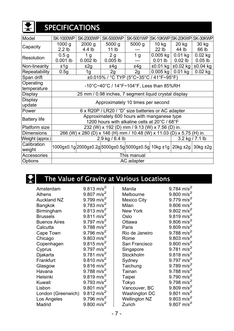

## SPECIFICATIONS

| Model                    | <b>SK-1000WP</b>                                                                             | <b>SK-2000WP</b> | <b>SK-5000WP</b> | <b>SK-5001WP</b>                                                 |            |                             | SK-10KWP SK-20KWP SK-30KWP |  |
|--------------------------|----------------------------------------------------------------------------------------------|------------------|------------------|------------------------------------------------------------------|------------|-----------------------------|----------------------------|--|
| Capacity                 | 1000 g                                                                                       | $2000$ g         | $5000$ g         | $5000$ g                                                         | 10 kg      | $20$ kg                     | 30 kg                      |  |
|                          | 2.2 <sub>lb</sub>                                                                            | 4.4 lb           | 11 <sub>lb</sub> |                                                                  | $22$ lb    | 44 lb                       | 66 lb                      |  |
| Resolution               | 0.5 <sub>g</sub>                                                                             | 1 <sub>g</sub>   | 2g               | 1 <sub>g</sub>                                                   | $0.005$ kg | $0.01$ kg                   | $0.02$ kg                  |  |
|                          | $0.001$ lb                                                                                   | $0.002$ lb       | $0.005$ lb       | ---                                                              | $0.01$ lb  | $0.02$ lb                   | $0.05$ lb                  |  |
| Non-linearity            | ±1g                                                                                          | ±2g              | ±4g              | ±4q                                                              |            | $\pm 0.01$ kg $\pm 0.02$ kg | $±0.04$ kg                 |  |
| Repeatability            | 0.5g                                                                                         | 1g               | 2g               | 2g                                                               | $0.005$ kg | $0.01$ kg                   | $0.02$ kg                  |  |
| Span drift               | ±0.015% / °C TYP (5°C~35°C / 41°F~95°F)                                                      |                  |                  |                                                                  |            |                             |                            |  |
| Operating<br>temperature | $-10^{\circ}$ C~40°C / 14°F~104°F, Less than 85%RH                                           |                  |                  |                                                                  |            |                             |                            |  |
| Display                  | 25 mm / 0.98 inches, 7 segment liquid crystal display                                        |                  |                  |                                                                  |            |                             |                            |  |
| Display<br>update        | Approximately 10 times per second                                                            |                  |                  |                                                                  |            |                             |                            |  |
| Power                    | 6 x R20P / LR20 / "D" size batteries or AC adapter                                           |                  |                  |                                                                  |            |                             |                            |  |
| <b>Battery life</b>      | Approximately 600 hours with manganese type<br>1200 hours with alkaline cells at 20°C / 68°F |                  |                  |                                                                  |            |                             |                            |  |
| Platform size            | 232 (W) x 192 (D) mm / 9.13 (W) x 7.56 (D) in.                                               |                  |                  |                                                                  |            |                             |                            |  |
| <b>Dimensions</b>        | 266 (W) x 280 (D) x 146 (H) mm / 10.48 (W) x 11.03 (D) x 5.75 (H) in.                        |                  |                  |                                                                  |            |                             |                            |  |
| Weight (approx.)         | 2.9 kg / 6.4 lb                                                                              |                  |                  | $3.2$ kg / 7.1 lb                                                |            |                             |                            |  |
| Calibration<br>weight    |                                                                                              |                  |                  | 1000g±0.1g 2000g±0.2g 5000g±0.5g 5000g±0.5g  10kg ±1g   20kg ±2g |            |                             | $30kg \pm 2g$              |  |
| <b>Accessories</b>       | This manual                                                                                  |                  |                  |                                                                  |            |                             |                            |  |
| Options                  | AC adapter                                                                                   |                  |                  |                                                                  |            |                             |                            |  |

## $\left| \boldsymbol{\Sigma} \right|$  The Value of Gravity at Various Locations

| Amsterdam           | $9.813 \text{ m/s}^2$  | Manila               | 9.784 $m/s^2$            |
|---------------------|------------------------|----------------------|--------------------------|
| <b>Athens</b>       | 9.807 m/s <sup>2</sup> | Melbourne            | $9.800$ m/s <sup>2</sup> |
| <b>Auckland NZ</b>  | 9.799 m/s <sup>2</sup> | Mexico City          | $9.779$ m/s <sup>2</sup> |
| <b>Bangkok</b>      | 9.783 m/s <sup>2</sup> | Milan                | 9.806 m/s <sup>2</sup>   |
| Birmingham          | $9.813 \text{ m/s}^2$  | New York             | 9.802 m/s <sup>2</sup>   |
| <b>Brussels</b>     | 9.811 m/s <sup>2</sup> | Oslo                 | $9.819$ m/s <sup>2</sup> |
| <b>Buenos Aires</b> | 9.797 m/s <sup>2</sup> | Ottawa               | 9.806 m/s <sup>2</sup>   |
| Calcutta            | 9.788 m/s <sup>2</sup> | Paris                | $9.809$ m/s <sup>2</sup> |
| Cape Town           | 9.796 m/s <sup>2</sup> | Rio de Janeiro       | 9.788 m/s <sup>2</sup>   |
| Chicago             | 9.803 m/s <sup>2</sup> | Rome                 | 9.803 m/s <sup>2</sup>   |
| Copenhagen          | $9.815 \text{ m/s}^2$  | San Francisco        | $9.800$ m/s <sup>2</sup> |
| Cyprus              | 9.797 m/s <sup>2</sup> | Singapore            | 9.781 $m/s^2$            |
| Djakarta            | 9.781 $m/s^2$          | Stockholm            | $9.818 \text{ m/s}^2$    |
| Frankfurt           | $9.810 \text{ m/s}^2$  | Sydney               | 9.797 $m/s^2$            |
| Glasgow             | 9.816 m/s <sup>2</sup> | Taichung             | $9.789$ m/s <sup>2</sup> |
| Havana              | 9.788 m/s <sup>2</sup> | Tainan               | 9.788 m/s <sup>2</sup>   |
| <b>Helsinki</b>     | $9.819 \text{ m/s}^2$  | <b>Taipei</b>        | 9.790 m/s <sup>2</sup>   |
| Kuwait              | 9.793 m/s <sup>2</sup> | Tokyo                | 9.798 m/s <sup>2</sup>   |
| Lisbon              | 9.801 m/s <sup>2</sup> | Vancouver, BC        | $9.809$ m/s <sup>2</sup> |
| London (Greenwich)  | $9.812 \text{ m/s}^2$  | <b>Washington DC</b> | $9.801$ m/s <sup>2</sup> |
| Los Angeles         | 9.796 m/s <sup>2</sup> | <b>Wellington NZ</b> | $9.803 \text{ m/s}^2$    |
| Madrid              | 9.800 m/s <sup>2</sup> | Zurich               | 9.807 m/s <sup>2</sup>   |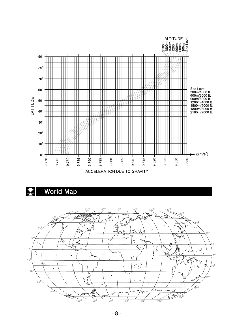

## World Map